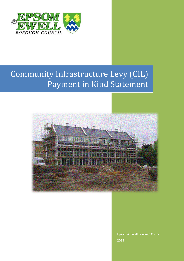

## Community Infrastructure Levy (CIL) Payment in Kind Statement



Epsom & Ewell Borough Council 2014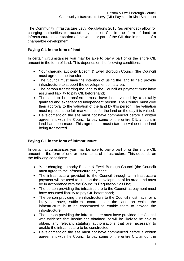The Community Infrastructure Levy Regulations 2010 (as amended) allow for charging authorities to accept payment of CIL in the form of land or infrastructure in satisfaction of the whole or part of the CIL due in respect of a chargeable development.

## **Paying CIL in the form of land**

In certain circumstances you may be able to pay a part of or the entire CIL amount in the form of land. This depends on the following conditions:

- Your charging authority Epsom & Ewell Borough Council (the Council) must agree to the transfer;
- The Council must have the intention of using the land to help provide infrastructure to support the development of its area;
- The person transferring the land to the Council as payment must have assumed liability to pay CIL beforehand;
- The land to be transferred must have been valued by a suitably qualified and experienced independent person. The Council must give their approval to the valuation of the land by this person. The valuation must represent the fair market price for the land on the day it is valued;
- Development on the site must not have commenced before a written agreement with the Council to pay some or the entire CIL amount in land has been made. This agreement must state the value of the land being transferred.

## **Paying CIL in the form of infrastructure**

In certain circumstances you may be able to pay a part of or the entire CIL amount in the form of one or more items of infrastructure. This depends on the following conditions:

- Your charging authority Epsom & Ewell Borough Council (the Council) must agree to the infrastructure payment;
- The infrastructure provided to the Council through an infrastructure payment will be used to support the development of its area, and must be in accordance with the Council's Regulation 123 List;
- The person providing the infrastructure to the Council as payment must have assumed liability to pay CIL beforehand;
- The person providing the infrastructure to the Council must have, or is likely to have, sufficient control over the land on which the infrastructure is to be constructed to enable them to provide the infrastructure;
- The person providing the infrastructure must have provided the Council with evidence that he/she has obtained, or will be likely to be able to obtain, any relevant statutory authorisations that are necessary to enable the infrastructure to be constructed;
- Development on the site must not have commenced before a written agreement with the Council to pay some or the entire CIL amount in